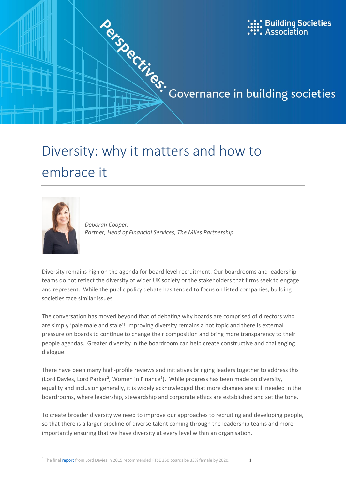

# embrace it



*Deborah Cooper, Partner, Head of Financial Services, The Miles Partnership*

Diversity remains high on the agenda for board level recruitment. Our boardrooms and leadership teams do not reflect the diversity of wider UK society or the stakeholders that firms seek to engage and represent. While the public policy debate has tended to focus on listed companies, building societies face similar issues.

The conversation has moved beyond that of debating why boards are comprised of directors who are simply 'pale male and stale'! Improving diversity remains a hot topic and there is external pressure on boards to continue to change their composition and bring more transparency to their people agendas. Greater diversity in the boardroom can help create constructive and challenging dialogue.

There have been many high-profile reviews and initiatives bringing leaders together to address this (Lord Davies, Lord Parker<sup>2</sup>, Women in Finance<sup>3</sup>). While progress has been made on diversity, equality and inclusion generally, it is widely acknowledged that more changes are still needed in the boardrooms, where leadership, stewardship and corporate ethics are established and set the tone.

To create broader diversity we need to improve our approaches to recruiting and developing people, so that there is a larger pipeline of diverse talent coming through the leadership teams and more importantly ensuring that we have diversity at every level within an organisation.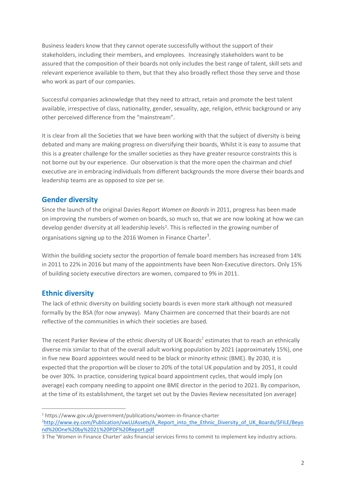Business leaders know that they cannot operate successfully without the support of their stakeholders, including their members, and employees. Increasingly stakeholders want to be assured that the composition of their boards not only includes the best range of talent, skill sets and relevant experience available to them, but that they also broadly reflect those they serve and those who work as part of our companies.

Successful companies acknowledge that they need to attract, retain and promote the best talent available, irrespective of class, nationality, gender, sexuality, age, religion, ethnic background or any other perceived difference from the "mainstream".

It is clear from all the Societies that we have been working with that the subject of diversity is being debated and many are making progress on diversifying their boards, Whilst it is easy to assume that this is a greater challenge for the smaller societies as they have greater resource constraints this is not borne out by our experience. Our observation is that the more open the chairman and chief executive are in embracing individuals from different backgrounds the more diverse their boards and leadership teams are as opposed to size per se.

## **Gender diversity**

Since the launch of the original Davies Report *Women on Boards* in 2011, progress has been made on improving the numbers of women on boards, so much so, that we are now looking at how we can develop gender diversity at all leadership levels<sup>1</sup>. This is reflected in the growing number of organisations signing up to the 2016 Women in Finance Charter<sup>1</sup>.

Within the building society sector the proportion of female board members has increased from 14% in 2011 to 22% in 2016 but many of the appointments have been Non-Executive directors. Only 15% of building society executive directors are women, compared to 9% in 2011.

## **Ethnic diversity**

 $\overline{a}$ 

The lack of ethnic diversity on building society boards is even more stark although not measured formally by the BSA (for now anyway). Many Chairmen are concerned that their boards are not reflective of the communities in which their societies are based.

The recent Parker Review of the ethnic diversity of UK Boards<sup>2</sup> estimates that to reach an ethnically diverse mix similar to that of the overall adult working population by 2021 (approximately 15%), one in five new Board appointees would need to be black or minority ethnic (BME). By 2030, it is expected that the proportion will be closer to 20% of the total UK population and by 2051, it could be over 30%. In practice, considering typical board appointment cycles, that would imply (on average) each company needing to appoint one BME director in the period to 2021. By comparison, at the time of its establishment, the target set out by the Davies Review necessitated (on average)

<sup>1</sup> https://www.gov.uk/government/publications/women-in-finance-charter

<sup>&</sup>lt;sup>2</sup>[http://www.ey.com/Publication/vwLUAssets/A\\_Report\\_into\\_the\\_Ethnic\\_Diversity\\_of\\_UK\\_Boards/\\$FILE/Beyo](http://www.ey.com/Publication/vwLUAssets/A_Report_into_the_Ethnic_Diversity_of_UK_Boards/$FILE/Beyond%20One%20by%2021%20PDF%20Report.pdf) [nd%20One%20by%2021%20PDF%20Report.pdf](http://www.ey.com/Publication/vwLUAssets/A_Report_into_the_Ethnic_Diversity_of_UK_Boards/$FILE/Beyond%20One%20by%2021%20PDF%20Report.pdf)

<sup>3</sup> The 'Women in Finance Charter' asks financial services firms to commit to implement key industry actions.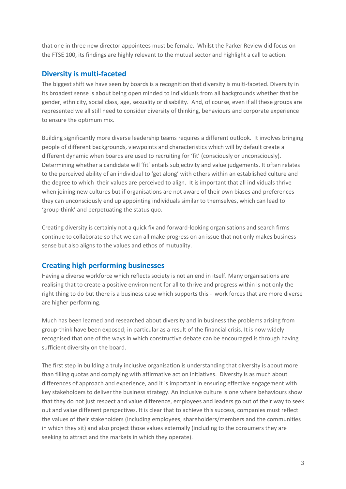that one in three new director appointees must be female. Whilst the Parker Review did focus on the FTSE 100, its findings are highly relevant to the mutual sector and highlight a call to action.

## **Diversity is multi-faceted**

The biggest shift we have seen by boards is a recognition that diversity is multi-faceted. Diversity in its broadest sense is about being open minded to individuals from all backgrounds whether that be gender, ethnicity, social class, age, sexuality or disability. And, of course, even if all these groups are represented we all still need to consider diversity of thinking, behaviours and corporate experience to ensure the optimum mix.

Building significantly more diverse leadership teams requires a different outlook. It involves bringing people of different backgrounds, viewpoints and characteristics which will by default create a different dynamic when boards are used to recruiting for 'fit' (consciously or unconsciously). Determining whether a candidate will 'fit' entails subjectivity and value judgements. It often relates to the perceived ability of an individual to 'get along' with others within an established culture and the degree to which their values are perceived to align. It is important that all individuals thrive when joining new cultures but if organisations are not aware of their own biases and preferences they can unconsciously end up appointing individuals similar to themselves, which can lead to 'group-think' and perpetuating the status quo.

Creating diversity is certainly not a quick fix and forward-looking organisations and search firms continue to collaborate so that we can all make progress on an issue that not only makes business sense but also aligns to the values and ethos of mutuality.

## **Creating high performing businesses**

Having a diverse workforce which reflects society is not an end in itself. Many organisations are realising that to create a positive environment for all to thrive and progress within is not only the right thing to do but there is a business case which supports this - work forces that are more diverse are higher performing.

Much has been learned and researched about diversity and in business the problems arising from group-think have been exposed; in particular as a result of the financial crisis. It is now widely recognised that one of the ways in which constructive debate can be encouraged is through having sufficient diversity on the board.

The first step in building a truly inclusive organisation is understanding that diversity is about more than filling quotas and complying with affirmative action initiatives. Diversity is as much about differences of approach and experience, and it is important in ensuring effective engagement with key stakeholders to deliver the business strategy. An inclusive culture is one where behaviours show that they do not just respect and value difference, employees and leaders go out of their way to seek out and value different perspectives. It is clear that to achieve this success, companies must reflect the values of their stakeholders (including employees, shareholders/members and the communities in which they sit) and also project those values externally (including to the consumers they are seeking to attract and the markets in which they operate).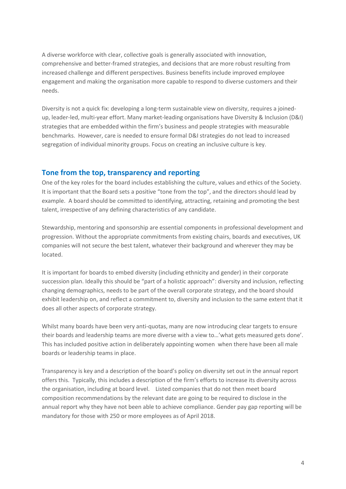A diverse workforce with clear, collective goals is generally associated with innovation, comprehensive and better-framed strategies, and decisions that are more robust resulting from increased challenge and different perspectives. Business benefits include improved employee engagement and making the organisation more capable to respond to diverse customers and their needs.

Diversity is not a quick fix: developing a long-term sustainable view on diversity, requires a joinedup, leader-led, multi-year effort. Many market-leading organisations have Diversity & Inclusion (D&I) strategies that are embedded within the firm's business and people strategies with measurable benchmarks. However, care is needed to ensure formal D&I strategies do not lead to increased segregation of individual minority groups. Focus on creating an inclusive culture is key.

#### **Tone from the top, transparency and reporting**

One of the key roles for the board includes establishing the culture, values and ethics of the Society. It is important that the Board sets a positive "tone from the top", and the directors should lead by example. A board should be committed to identifying, attracting, retaining and promoting the best talent, irrespective of any defining characteristics of any candidate.

Stewardship, mentoring and sponsorship are essential components in professional development and progression. Without the appropriate commitments from existing chairs, boards and executives, UK companies will not secure the best talent, whatever their background and wherever they may be located.

It is important for boards to embed diversity (including ethnicity and gender) in their corporate succession plan. Ideally this should be "part of a holistic approach": diversity and inclusion, reflecting changing demographics, needs to be part of the overall corporate strategy, and the board should exhibit leadership on, and reflect a commitment to, diversity and inclusion to the same extent that it does all other aspects of corporate strategy.

Whilst many boards have been very anti-quotas, many are now introducing clear targets to ensure their boards and leadership teams are more diverse with a view to…'what gets measured gets done'. This has included positive action in deliberately appointing women when there have been all male boards or leadership teams in place.

Transparency is key and a description of the board's policy on diversity set out in the annual report offers this. Typically, this includes a description of the firm's efforts to increase its diversity across the organisation, including at board level. Listed companies that do not then meet board composition recommendations by the relevant date are going to be required to disclose in the annual report why they have not been able to achieve compliance. Gender pay gap reporting will be mandatory for those with 250 or more employees as of April 2018.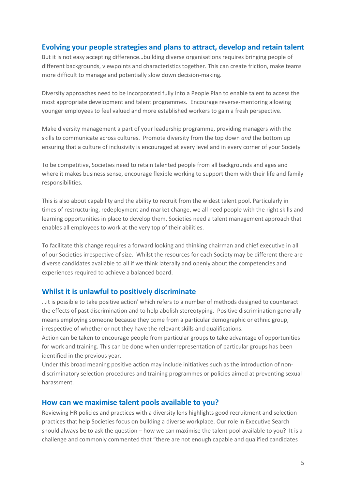## **Evolving your people strategies and plans to attract, develop and retain talent**

But it is not easy accepting difference…building diverse organisations requires bringing people of different backgrounds, viewpoints and characteristics together. This can create friction, make teams more difficult to manage and potentially slow down decision-making.

Diversity approaches need to be incorporated fully into a People Plan to enable talent to access the most appropriate development and talent programmes. Encourage reverse-mentoring allowing younger employees to feel valued and more established workers to gain a fresh perspective.

Make diversity management a part of your leadership programme, providing managers with the skills to communicate across cultures. Promote diversity from the top down *and* the bottom up ensuring that a culture of inclusivity is encouraged at every level and in every corner of your Society

To be competitive, Societies need to retain talented people from all backgrounds and ages and where it makes business sense, encourage flexible working to support them with their life and family responsibilities.

This is also about capability and the ability to recruit from the widest talent pool. Particularly in times of restructuring, redeployment and market change, we all need people with the right skills and learning opportunities in place to develop them. Societies need a talent management approach that enables all employees to work at the very top of their abilities.

To facilitate this change requires a forward looking and thinking chairman and chief executive in all of our Societies irrespective of size. Whilst the resources for each Society may be different there are diverse candidates available to all if we think laterally and openly about the competencies and experiences required to achieve a balanced board.

#### **Whilst it is unlawful to positively discriminate**

…it is possible to take positive action' which refers to a number of methods designed to counteract the effects of past discrimination and to help abolish stereotyping. Positive discrimination generally means employing someone because they come from a particular demographic or ethnic group, irrespective of whether or not they have the relevant skills and qualifications.

Action can be taken to encourage people from particular groups to take advantage of opportunities for work and training. This can be done when underrepresentation of particular groups has been identified in the previous year.

Under this broad meaning positive action may include initiatives such as the introduction of nondiscriminatory selection procedures and training programmes or policies aimed at preventing sexual harassment.

#### **How can we maximise talent pools available to you?**

Reviewing HR policies and practices with a diversity lens highlights good recruitment and selection practices that help Societies focus on building a diverse workplace. Our role in Executive Search should always be to ask the question – how we can maximise the talent pool available to you? It is a challenge and commonly commented that "there are not enough capable and qualified candidates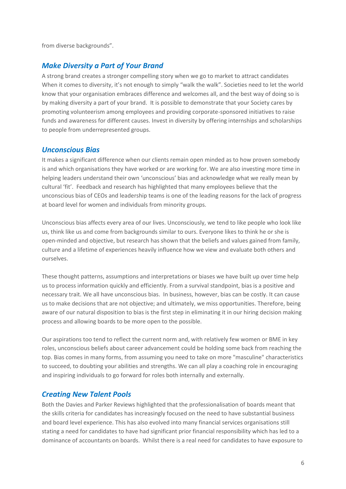from diverse backgrounds".

#### *Make Diversity a Part of Your Brand*

A strong brand creates a stronger compelling story when we go to market to attract candidates When it comes to diversity, it's not enough to simply "walk the walk". Societies need to let the world know that your organisation embraces difference and welcomes all, and the best way of doing so is by making diversity a part of your brand. It is possible to demonstrate that your Society cares by promoting volunteerism among employees and providing corporate-sponsored initiatives to raise funds and awareness for different causes. Invest in diversity by offering internships and scholarships to people from underrepresented groups.

#### *Unconscious Bias*

It makes a significant difference when our clients remain open minded as to how proven somebody is and which organisations they have worked or are working for. We are also investing more time in helping leaders understand their own 'unconscious' bias and acknowledge what we really mean by cultural 'fit'. Feedback and research has highlighted that many employees believe that the unconscious bias of CEOs and leadership teams is one of the leading reasons for the lack of progress at board level for women and individuals from minority groups.

Unconscious bias affects every area of our lives. Unconsciously, we tend to like people who look like us, think like us and come from backgrounds similar to ours. Everyone likes to think he or she is open-minded and objective, but research has shown that the beliefs and values gained from family, culture and a lifetime of experiences heavily influence how we view and evaluate both others and ourselves.

These thought patterns, assumptions and interpretations or biases we have built up over time help us to process information quickly and efficiently. From a survival standpoint, bias is a positive and necessary trait. We all have unconscious bias. In business, however, bias can be costly. It can cause us to make decisions that are not objective; and ultimately, we miss opportunities. Therefore, being aware of our natural disposition to bias is the first step in eliminating it in our hiring decision making process and allowing boards to be more open to the possible.

Our aspirations too tend to reflect the current norm and, with relatively few women or BME in key roles, unconscious beliefs about career advancement could be holding some back from reaching the top. Bias comes in many forms, from assuming you need to take on more "masculine" characteristics to succeed, to doubting your abilities and strengths. We can all play a coaching role in encouraging and inspiring individuals to go forward for roles both internally and externally.

#### *Creating New Talent Pools*

Both the Davies and Parker Reviews highlighted that the professionalisation of boards meant that the skills criteria for candidates has increasingly focused on the need to have substantial business and board level experience. This has also evolved into many financial services organisations still stating a need for candidates to have had significant prior financial responsibility which has led to a dominance of accountants on boards. Whilst there is a real need for candidates to have exposure to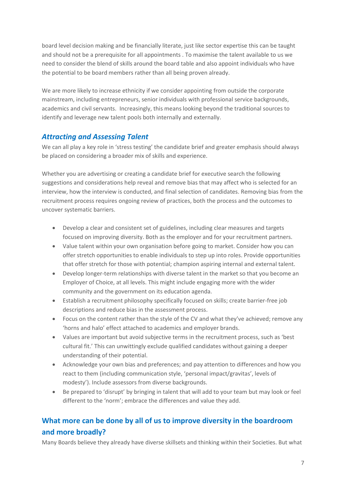board level decision making and be financially literate, just like sector expertise this can be taught and should not be a prerequisite for all appointments . To maximise the talent available to us we need to consider the blend of skills around the board table and also appoint individuals who have the potential to be board members rather than all being proven already.

We are more likely to increase ethnicity if we consider appointing from outside the corporate mainstream, including entrepreneurs, senior individuals with professional service backgrounds, academics and civil servants. Increasingly, this means looking beyond the traditional sources to identify and leverage new talent pools both internally and externally.

## *Attracting and Assessing Talent*

We can all play a key role in 'stress testing' the candidate brief and greater emphasis should always be placed on considering a broader mix of skills and experience.

Whether you are advertising or creating a candidate brief for executive search the following suggestions and considerations help reveal and remove bias that may affect who is selected for an interview, how the interview is conducted, and final selection of candidates. Removing bias from the recruitment process requires ongoing review of practices, both the process and the outcomes to uncover systematic barriers.

- Develop a clear and consistent set of guidelines, including clear measures and targets focused on improving diversity. Both as the employer and for your recruitment partners.
- Value talent within your own organisation before going to market. Consider how you can offer stretch opportunities to enable individuals to step up into roles. Provide opportunities that offer stretch for those with potential; champion aspiring internal and external talent.
- Develop longer-term relationships with diverse talent in the market so that you become an Employer of Choice, at all levels. This might include engaging more with the wider community and the government on its education agenda.
- Establish a recruitment philosophy specifically focused on skills; create barrier-free job descriptions and reduce bias in the assessment process.
- Focus on the content rather than the style of the CV and what they've achieved; remove any 'horns and halo' effect attached to academics and employer brands.
- Values are important but avoid subjective terms in the recruitment process, such as 'best cultural fit.' This can unwittingly exclude qualified candidates without gaining a deeper understanding of their potential.
- Acknowledge your own bias and preferences; and pay attention to differences and how you react to them (including communication style, 'personal impact/gravitas', levels of modesty'). Include assessors from diverse backgrounds.
- Be prepared to 'disrupt' by bringing in talent that will add to your team but may look or feel different to the 'norm'; embrace the differences and value they add.

## **What more can be done by all of us to improve diversity in the boardroom and more broadly?**

Many Boards believe they already have diverse skillsets and thinking within their Societies. But what